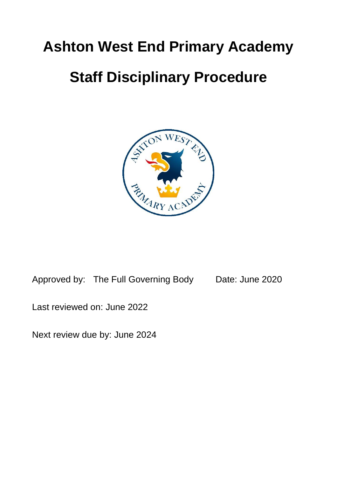# **Ashton West End Primary Academy**

# **Staff Disciplinary Procedure**



Approved by: The Full Governing Body Date: June 2020

Last reviewed on: June 2022

Next review due by: June 2024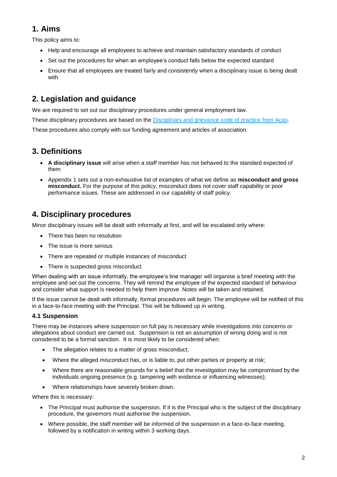## **1. Aims**

This policy aims to:

- Help and encourage all employees to achieve and maintain satisfactory standards of conduct
- Set out the procedures for when an employee's conduct falls below the expected standard
- Ensure that all employees are treated fairly and consistently when a disciplinary issue is being dealt with

# **2. Legislation and guidance**

We are required to set out our disciplinary procedures under general employment law. These disciplinary procedures are based on the Disciplinary and grievance [code of practice from Acas.](http://www.acas.org.uk/media/pdf/f/m/Acas-Code-of-Practice-1-on-disciplinary-and-grievance-procedures.pdf) These procedures also comply with our funding agreement and articles of association.

## **3. Definitions**

- **A disciplinary issue** will arise when a staff member has not behaved to the standard expected of them
- Appendix 1 sets out a non-exhaustive list of examples of what we define as **misconduct and gross misconduct.** For the purpose of this policy, misconduct does not cover staff capability or poor performance issues. These are addressed in our capability of staff policy.

## **4. Disciplinary procedures**

Minor disciplinary issues will be dealt with informally at first, and will be escalated only where:

- There has been no resolution
- The issue is more serious
- There are repeated or multiple instances of misconduct
- There is suspected gross misconduct

When dealing with an issue informally, the employee's line manager will organise a brief meeting with the employee and set out the concerns. They will remind the employee of the expected standard of behaviour and consider what support is needed to help them improve. Notes will be taken and retained.

If the issue cannot be dealt with informally, formal procedures will begin. The employee will be notified of this in a face-to-face meeting with the Principal. This will be followed up in writing.

### **4.1 Suspension**

There may be instances where suspension on full pay is necessary while investigations into concerns or allegations about conduct are carried out. Suspension is not an assumption of wrong doing and is not considered to be a formal sanction. It is most likely to be considered when:

- The allegation relates to a matter of gross misconduct;
- Where the alleged misconduct has, or is liable to, put other parties or property at risk;
- Where there are reasonable grounds for a belief that the investigation may be compromised by the individuals ongoing presence (e.g. tampering with evidence or influencing witnesses);
- Where relationships have severely broken down.

Where this is necessary:

- The Principal must authorise the suspension. If it is the Principal who is the subject of the disciplinary procedure, the governors must authorise the suspension.
- Where possible, the staff member will be informed of the suspension in a face-to-face meeting, followed by a notification in writing within 3 working days.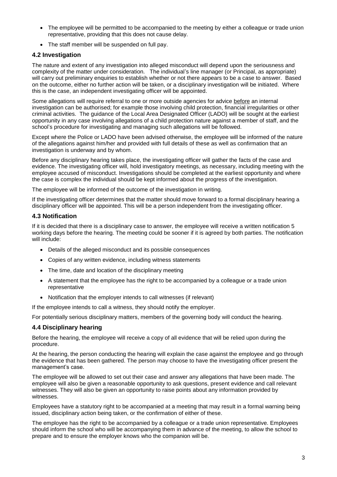- The employee will be permitted to be accompanied to the meeting by either a colleague or trade union representative, providing that this does not cause delay.
- The staff member will be suspended on full pay.

#### **4.2 Investigation**

The nature and extent of any investigation into alleged misconduct will depend upon the seriousness and complexity of the matter under consideration. The individual's line manager (or Principal, as appropriate) will carry out preliminary enquiries to establish whether or not there appears to be a case to answer. Based on the outcome, either no further action will be taken, or a disciplinary investigation will be initiated. Where this is the case, an independent investigating officer will be appointed.

Some allegations will require referral to one or more outside agencies for advice before an internal investigation can be authorised; for example those involving child protection, financial irregularities or other criminal activities. The guidance of the Local Area Designated Officer (LADO) will be sought at the earliest opportunity in any case involving allegations of a child protection nature against a member of staff, and the school's procedure for investigating and managing such allegations will be followed.

Except where the Police or LADO have been advised otherwise, the employee will be informed of the nature of the allegations against him/her and provided with full details of these as well as confirmation that an investigation is underway and by whom.

Before any disciplinary hearing takes place, the investigating officer will gather the facts of the case and evidence. The investigating officer will, hold investigatory meetings, as necessary, including meeting with the employee accused of misconduct. Investigations should be completed at the earliest opportunity and where the case is complex the individual should be kept informed about the progress of the investigation.

The employee will be informed of the outcome of the investigation in writing.

If the investigating officer determines that the matter should move forward to a formal disciplinary hearing a disciplinary officer will be appointed. This will be a person independent from the investigating officer.

#### **4.3 Notification**

If it is decided that there is a disciplinary case to answer, the employee will receive a written notification 5 working days before the hearing. The meeting could be sooner if it is agreed by both parties. The notification will include:

- Details of the alleged misconduct and its possible consequences
- Copies of any written evidence, including witness statements
- The time, date and location of the disciplinary meeting
- A statement that the employee has the right to be accompanied by a colleague or a trade union representative
- Notification that the employer intends to call witnesses (if relevant)

If the employee intends to call a witness, they should notify the employer.

For potentially serious disciplinary matters, members of the governing body will conduct the hearing.

#### **4.4 Disciplinary hearing**

Before the hearing, the employee will receive a copy of all evidence that will be relied upon during the procedure.

At the hearing, the person conducting the hearing will explain the case against the employee and go through the evidence that has been gathered. The person may choose to have the investigating officer present the management's case.

The employee will be allowed to set out their case and answer any allegations that have been made. The employee will also be given a reasonable opportunity to ask questions, present evidence and call relevant witnesses. They will also be given an opportunity to raise points about any information provided by witnesses.

Employees have a statutory right to be accompanied at a meeting that may result in a formal warning being issued, disciplinary action being taken, or the confirmation of either of these.

The employee has the right to be accompanied by a colleague or a trade union representative. Employees should inform the school who will be accompanying them in advance of the meeting, to allow the school to prepare and to ensure the employer knows who the companion will be.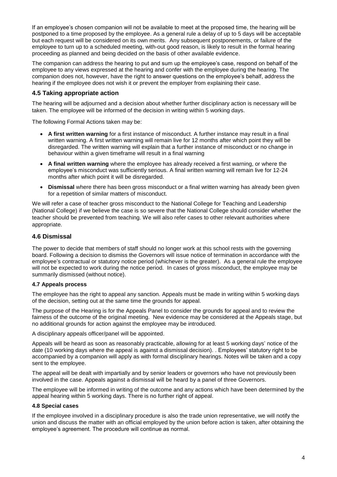If an employee's chosen companion will not be available to meet at the proposed time, the hearing will be postponed to a time proposed by the employee. As a general rule a delay of up to 5 days will be acceptable but each request will be considered on its own merits. Any subsequent postponements, or failure of the employee to turn up to a scheduled meeting, with-out good reason, is likely to result in the formal hearing proceeding as planned and being decided on the basis of other available evidence.

The companion can address the hearing to put and sum up the employee's case, respond on behalf of the employee to any views expressed at the hearing and confer with the employee during the hearing. The companion does not, however, have the right to answer questions on the employee's behalf, address the hearing if the employee does not wish it or prevent the employer from explaining their case.

#### **4.5 Taking appropriate action**

The hearing will be adjourned and a decision about whether further disciplinary action is necessary will be taken. The employee will be informed of the decision in writing within 5 working days.

The following Formal Actions taken may be:

- **A first written warning** for a first instance of misconduct. A further instance may result in a final written warning. A first written warning will remain live for 12 months after which point they will be disregarded. The written warning will explain that a further instance of misconduct or no change in behaviour within a given timeframe will result in a final warning
- **A final written warning** where the employee has already received a first warning, or where the employee's misconduct was sufficiently serious. A final written warning will remain live for 12-24 months after which point it will be disregarded.
- **Dismissal** where there has been gross misconduct or a final written warning has already been given for a repetition of similar matters of misconduct.

We will refer a case of teacher gross misconduct to the National College for Teaching and Leadership (National College) if we believe the case is so severe that the National College should consider whether the teacher should be prevented from teaching. We will also refer cases to other relevant authorities where appropriate.

#### **4.6 Dismissal**

The power to decide that members of staff should no longer work at this school rests with the governing board. Following a decision to dismiss the Governors will issue notice of termination in accordance with the employee's contractual or statutory notice period (whichever is the greater). As a general rule the employee will not be expected to work during the notice period. In cases of gross misconduct, the employee may be summarily dismissed (without notice).

#### **4.7 Appeals process**

The employee has the right to appeal any sanction. Appeals must be made in writing within 5 working days of the decision, setting out at the same time the grounds for appeal.

The purpose of the Hearing is for the Appeals Panel to consider the grounds for appeal and to review the fairness of the outcome of the original meeting. New evidence may be considered at the Appeals stage, but no additional grounds for action against the employee may be introduced.

A disciplinary appeals officer/panel will be appointed.

Appeals will be heard as soon as reasonably practicable, allowing for at least 5 working days' notice of the date (10 working days where the appeal is against a dismissal decision). . Employees' statutory right to be accompanied by a companion will apply as with formal disciplinary hearings. Notes will be taken and a copy sent to the employee.

The appeal will be dealt with impartially and by senior leaders or governors who have not previously been involved in the case. Appeals against a dismissal will be heard by a panel of three Governors.

The employee will be informed in writing of the outcome and any actions which have been determined by the appeal hearing within 5 working days. There is no further right of appeal.

#### **4.8 Special cases**

If the employee involved in a disciplinary procedure is also the trade union representative, we will notify the union and discuss the matter with an official employed by the union before action is taken, after obtaining the employee's agreement. The procedure will continue as normal.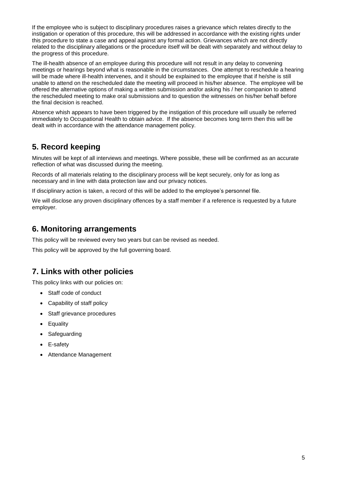If the employee who is subject to disciplinary procedures raises a grievance which relates directly to the instigation or operation of this procedure, this will be addressed in accordance with the existing rights under this procedure to state a case and appeal against any formal action. Grievances which are not directly related to the disciplinary allegations or the procedure itself will be dealt with separately and without delay to the progress of this procedure.

The ill-health absence of an employee during this procedure will not result in any delay to convening meetings or hearings beyond what is reasonable in the circumstances. One attempt to reschedule a hearing will be made where ill-health intervenes, and it should be explained to the employee that if he/she is still unable to attend on the rescheduled date the meeting will proceed in his/her absence. The employee will be offered the alternative options of making a written submission and/or asking his / her companion to attend the rescheduled meeting to make oral submissions and to question the witnesses on his/her behalf before the final decision is reached.

Absence whish appears to have been triggered by the instigation of this procedure will usually be referred immediately to Occupational Health to obtain advice. If the absence becomes long term then this will be dealt with in accordance with the attendance management policy.

## **5. Record keeping**

Minutes will be kept of all interviews and meetings. Where possible, these will be confirmed as an accurate reflection of what was discussed during the meeting.

Records of all materials relating to the disciplinary process will be kept securely, only for as long as necessary and in line with data protection law and our privacy notices.

If disciplinary action is taken, a record of this will be added to the employee's personnel file.

We will disclose any proven disciplinary offences by a staff member if a reference is requested by a future employer.

### **6. Monitoring arrangements**

This policy will be reviewed every two years but can be revised as needed.

This policy will be approved by the full governing board.

## **7. Links with other policies**

This policy links with our policies on:

- Staff code of conduct
- Capability of staff policy
- Staff grievance procedures
- Equality
- Safeguarding
- E-safety
- Attendance Management